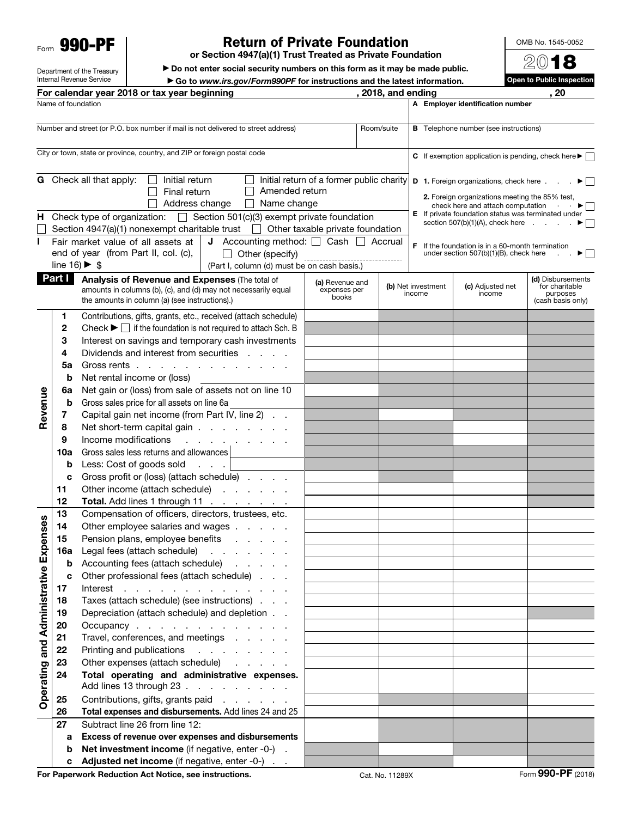Form 990-PF

Department of the Treasury Internal Revenue Service

## Return of Private Foundation

or Section 4947(a)(1) Trust Treated as Private Foundation

▶ Do not enter social security numbers on this form as it may be made public.

▶ Go to *www.irs.gov/Form990PF* for instructions and the latest information.

|                                 |                              | For calendar year 2018 or tax year beginning                                                                                                                                                                      |                                           | , 2018, and ending | , 20                                                                                                      |
|---------------------------------|------------------------------|-------------------------------------------------------------------------------------------------------------------------------------------------------------------------------------------------------------------|-------------------------------------------|--------------------|-----------------------------------------------------------------------------------------------------------|
|                                 | Name of foundation           |                                                                                                                                                                                                                   |                                           |                    | A Employer identification number                                                                          |
|                                 |                              | Creative Opera Company, Ltd                                                                                                                                                                                       |                                           |                    | 23-7170979                                                                                                |
|                                 |                              | Number and street (or P.O. box number if mail is not delivered to street address)                                                                                                                                 |                                           | Room/suite         | <b>B</b> Telephone number (see instructions)                                                              |
|                                 |                              | 101 West 85th Street                                                                                                                                                                                              |                                           | $3 - 4$            | 212-877-7555                                                                                              |
|                                 |                              | City or town, state or province, country, and ZIP or foreign postal code                                                                                                                                          |                                           |                    | C If exemption application is pending, check here $\blacktriangleright \Box$                              |
|                                 |                              | New York, NY 10024                                                                                                                                                                                                |                                           |                    |                                                                                                           |
|                                 |                              | G Check all that apply:<br>Initial return<br>$\mathsf{L}$                                                                                                                                                         | Initial return of a former public charity |                    | <b>D</b> 1. Foreign organizations, check here $\ldots$ $\blacktriangleright$                              |
|                                 |                              | Amended return<br>Final return                                                                                                                                                                                    |                                           |                    |                                                                                                           |
|                                 |                              | Address change<br>$\Box$ Name change                                                                                                                                                                              |                                           |                    | 2. Foreign organizations meeting the 85% test,<br>check here and attach computation $\blacktriangleright$ |
|                                 |                              | <b>H</b> Check type of organization: $X$ Section 501(c)(3) exempt private foundation                                                                                                                              |                                           |                    | E If private foundation status was terminated under                                                       |
|                                 |                              | Section 4947(a)(1) nonexempt charitable trust $\Box$ Other taxable private foundation                                                                                                                             |                                           |                    | section $507(b)(1)(A)$ , check here $\ldots$<br>$\blacktriangleright$ $\vdash$                            |
|                                 |                              | <b>J</b> Accounting method: $X$ Cash $\Box$ Accrual<br>Fair market value of all assets at                                                                                                                         |                                           |                    | $F$ If the foundation is in a 60-month termination                                                        |
|                                 |                              | end of year (from Part II, col. (c),<br>Other (specify)<br>$\Box$                                                                                                                                                 |                                           |                    | under section $507(b)(1)(B)$ , check here                                                                 |
|                                 | line 16) $\triangleright$ \$ | (Part I, column (d) must be on cash basis.)<br>0                                                                                                                                                                  |                                           |                    |                                                                                                           |
|                                 | <b>Part I</b>                | Analysis of Revenue and Expenses (The total of                                                                                                                                                                    | (a) Revenue and                           |                    | (d) Disbursements                                                                                         |
|                                 |                              | amounts in columns (b), (c), and (d) may not necessarily equal                                                                                                                                                    | expenses per<br>books                     |                    | (b) Net investment<br>(c) Adjusted net<br>for charitable<br>income<br>income<br>purposes                  |
|                                 |                              | the amounts in column (a) (see instructions).)                                                                                                                                                                    |                                           |                    | (cash basis only)                                                                                         |
|                                 | 1                            | Contributions, gifts, grants, etc., received (attach schedule)                                                                                                                                                    |                                           |                    |                                                                                                           |
|                                 | 2                            | Check $\blacktriangleright$ $\Box$ if the foundation is not required to attach Sch. B                                                                                                                             |                                           |                    |                                                                                                           |
|                                 | 3                            | Interest on savings and temporary cash investments                                                                                                                                                                |                                           |                    |                                                                                                           |
|                                 | 4                            | Dividends and interest from securities                                                                                                                                                                            |                                           |                    |                                                                                                           |
|                                 | 5a                           | Gross rents                                                                                                                                                                                                       |                                           |                    |                                                                                                           |
|                                 | b                            | Net rental income or (loss)                                                                                                                                                                                       |                                           |                    |                                                                                                           |
|                                 | 6a                           | Net gain or (loss) from sale of assets not on line 10                                                                                                                                                             |                                           |                    |                                                                                                           |
| Revenue                         | b                            | Gross sales price for all assets on line 6a                                                                                                                                                                       |                                           |                    |                                                                                                           |
|                                 | 7                            | Capital gain net income (from Part IV, line 2)                                                                                                                                                                    |                                           |                    |                                                                                                           |
|                                 | 8                            | Net short-term capital gain                                                                                                                                                                                       |                                           |                    |                                                                                                           |
|                                 | 9                            | Income modifications<br>and a state of the contract of                                                                                                                                                            |                                           |                    |                                                                                                           |
|                                 | 10a                          | Gross sales less returns and allowances                                                                                                                                                                           |                                           |                    |                                                                                                           |
|                                 | b                            | Less: Cost of goods sold                                                                                                                                                                                          |                                           |                    |                                                                                                           |
|                                 | c                            | Gross profit or (loss) (attach schedule)                                                                                                                                                                          |                                           |                    |                                                                                                           |
|                                 | 11                           | Other income (attach schedule)                                                                                                                                                                                    |                                           |                    |                                                                                                           |
|                                 | 12                           | Total. Add lines 1 through 11                                                                                                                                                                                     |                                           |                    |                                                                                                           |
|                                 | 13                           | Compensation of officers, directors, trustees, etc.                                                                                                                                                               |                                           |                    |                                                                                                           |
|                                 | 14                           | Other employee salaries and wages                                                                                                                                                                                 |                                           |                    |                                                                                                           |
| penses                          | 15                           | Pension plans, employee benefits<br>and the contract of the con-                                                                                                                                                  |                                           |                    |                                                                                                           |
|                                 | 16a                          | Legal fees (attach schedule)<br>$\mathcal{L}^{\mathcal{A}}$ , $\mathcal{L}^{\mathcal{A}}$ , $\mathcal{L}^{\mathcal{A}}$ , $\mathcal{L}^{\mathcal{A}}$ , $\mathcal{L}^{\mathcal{A}}$ , $\mathcal{L}^{\mathcal{A}}$ |                                           |                    |                                                                                                           |
|                                 | b                            | Accounting fees (attach schedule)<br>and a state of                                                                                                                                                               |                                           |                    |                                                                                                           |
|                                 | c                            | Other professional fees (attach schedule)                                                                                                                                                                         |                                           |                    |                                                                                                           |
|                                 | 17                           | Interest<br>the contract of the contract of the contract of<br>Taxes (attach schedule) (see instructions)                                                                                                         |                                           |                    |                                                                                                           |
|                                 | 18                           | Depreciation (attach schedule) and depletion                                                                                                                                                                      |                                           |                    |                                                                                                           |
|                                 | 19<br>20                     | Occupancy                                                                                                                                                                                                         |                                           |                    |                                                                                                           |
|                                 | 21                           | Travel, conferences, and meetings                                                                                                                                                                                 |                                           |                    |                                                                                                           |
|                                 | 22                           | Printing and publications<br>and a series and a                                                                                                                                                                   |                                           | 100                |                                                                                                           |
|                                 | 23                           | Other expenses (attach schedule)<br>and the control of                                                                                                                                                            |                                           |                    |                                                                                                           |
|                                 | 24                           | Total operating and administrative expenses.                                                                                                                                                                      |                                           | 100                |                                                                                                           |
| Operating and Administrative Ex |                              | Add lines 13 through 23                                                                                                                                                                                           |                                           |                    |                                                                                                           |
|                                 | 25                           | Contributions, gifts, grants paid                                                                                                                                                                                 |                                           |                    |                                                                                                           |
|                                 | 26                           | Total expenses and disbursements. Add lines 24 and 25                                                                                                                                                             |                                           | 100                |                                                                                                           |
|                                 | 27                           | Subtract line 26 from line 12:                                                                                                                                                                                    |                                           |                    |                                                                                                           |
|                                 | а                            | Excess of revenue over expenses and disbursements                                                                                                                                                                 |                                           |                    |                                                                                                           |
|                                 | b                            | Net investment income (if negative, enter -0-).                                                                                                                                                                   |                                           |                    |                                                                                                           |
|                                 | c                            | Adjusted net income (if negative, enter -0-)                                                                                                                                                                      |                                           |                    |                                                                                                           |

OMB No. 1545-0052

2018 Open to Public Inspection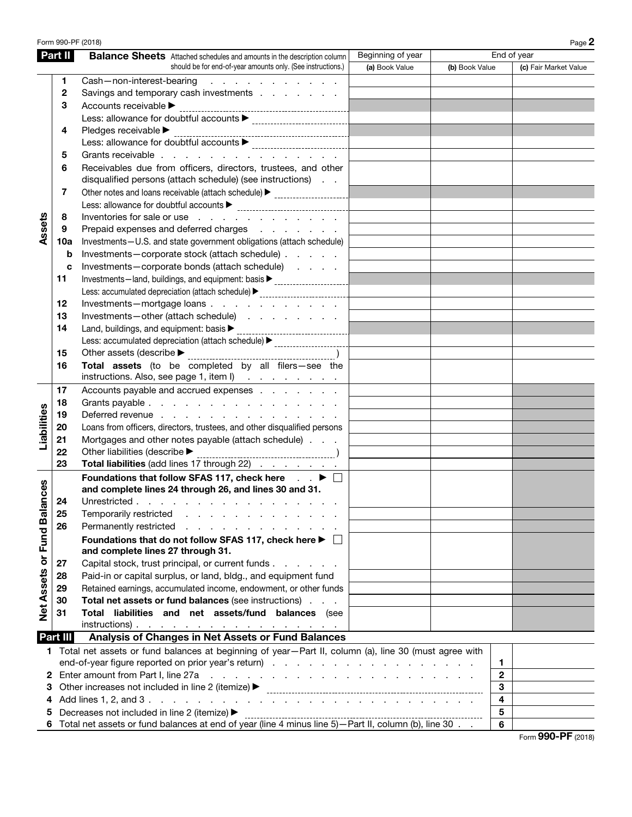## Form 990-PF (2018) Creative Opera Company, Ltd  $_{\rm 23-7170979}$  Page 2

|                        | Part II  | <b>Balance Sheets</b> Attached schedules and amounts in the description column                                                                                                                                                 | Beginning of year |                | End of year           |
|------------------------|----------|--------------------------------------------------------------------------------------------------------------------------------------------------------------------------------------------------------------------------------|-------------------|----------------|-----------------------|
|                        |          | should be for end-of-year amounts only. (See instructions.)                                                                                                                                                                    | (a) Book Value    | (b) Book Value | (c) Fair Market Value |
|                        | 1        | Cash-non-interest-bearing<br>and the company of the company of the company of                                                                                                                                                  |                   |                |                       |
|                        | 2        | Savings and temporary cash investments                                                                                                                                                                                         |                   |                |                       |
|                        | 3        | Accounts receivable ▶                                                                                                                                                                                                          |                   |                |                       |
|                        |          | Less: allowance for doubtful accounts<br>                                                                                                                                                                                      |                   |                |                       |
|                        | 4        | Pledges receivable ▶                                                                                                                                                                                                           |                   |                |                       |
|                        |          | Less: allowance for doubtful accounts $\blacktriangleright$                                                                                                                                                                    |                   |                |                       |
| Assets                 | 5        | Grants receivable                                                                                                                                                                                                              |                   |                |                       |
|                        | 6        | Receivables due from officers, directors, trustees, and other                                                                                                                                                                  |                   |                |                       |
|                        |          | disqualified persons (attach schedule) (see instructions)                                                                                                                                                                      |                   |                |                       |
|                        | 7        | Other notes and loans receivable (attach schedule) > contract context and loans receivable (attach schedule) >                                                                                                                 |                   |                |                       |
|                        |          | Less: allowance for doubtful accounts<br><br><br><br><br><br><br><br><br><br><br><br><br><br><br>                                                                                                                              |                   |                |                       |
|                        | 8        | Inventories for sale or use                                                                                                                                                                                                    |                   |                |                       |
|                        | 9        | Prepaid expenses and deferred charges                                                                                                                                                                                          |                   |                |                       |
|                        | 10a      | Investments-U.S. and state government obligations (attach schedule)                                                                                                                                                            |                   |                |                       |
|                        | b        | Investments-corporate stock (attach schedule)                                                                                                                                                                                  |                   |                |                       |
|                        | C        | Investments-corporate bonds (attach schedule)                                                                                                                                                                                  |                   |                |                       |
|                        | 11       | Investments-land, buildings, and equipment: basis > ____________________________                                                                                                                                               |                   |                |                       |
|                        |          | Less: accumulated depreciation (attach schedule) > _____________________________                                                                                                                                               |                   |                |                       |
|                        | 12       | Investments-mortgage loans                                                                                                                                                                                                     |                   |                |                       |
|                        | 13       | Investments-other (attach schedule)                                                                                                                                                                                            |                   |                |                       |
|                        | 14       | Land, buildings, and equipment: basis $\blacktriangleright$                                                                                                                                                                    |                   |                |                       |
|                        |          | Less: accumulated depreciation (attach schedule) > _____________________________                                                                                                                                               |                   |                |                       |
|                        | 15       | Other assets (describe $\blacktriangleright$                                                                                                                                                                                   |                   |                |                       |
|                        | 16       | Total assets (to be completed by all filers-see the                                                                                                                                                                            |                   |                |                       |
|                        |          | instructions. Also, see page 1, item l)                                                                                                                                                                                        | 0                 |                | 0<br>0                |
|                        | 17       | Accounts payable and accrued expenses                                                                                                                                                                                          |                   |                |                       |
|                        | 18       | Grants payable                                                                                                                                                                                                                 |                   |                |                       |
| Liabilities            | 19       | Deferred revenue                                                                                                                                                                                                               |                   |                |                       |
|                        | 20       | Loans from officers, directors, trustees, and other disqualified persons                                                                                                                                                       |                   |                |                       |
|                        | 21       | Mortgages and other notes payable (attach schedule)                                                                                                                                                                            |                   |                |                       |
|                        | 22       | Other liabilities (describe $\blacktriangleright$                                                                                                                                                                              |                   |                |                       |
|                        | 23       | Total liabilities (add lines 17 through 22)                                                                                                                                                                                    |                   |                |                       |
|                        |          | Foundations that follow SFAS 117, check here ▶ □                                                                                                                                                                               |                   |                |                       |
| ances                  |          | and complete lines 24 through 26, and lines 30 and 31.                                                                                                                                                                         |                   |                |                       |
|                        | 24       | Unrestricted                                                                                                                                                                                                                   |                   |                |                       |
|                        | 25       | Temporarily restricted<br>.                                                                                                                                                                                                    |                   |                |                       |
|                        | 26       | Permanently restricted<br>and the company of the company of the company of                                                                                                                                                     |                   |                |                       |
| Net Assets or Fund Bal |          | Foundations that do not follow SFAS 117, check here $\blacktriangleright \Box$                                                                                                                                                 |                   |                |                       |
|                        |          | and complete lines 27 through 31.                                                                                                                                                                                              |                   |                |                       |
|                        | 27       | Capital stock, trust principal, or current funds                                                                                                                                                                               |                   |                |                       |
|                        | 28       | Paid-in or capital surplus, or land, bldg., and equipment fund                                                                                                                                                                 |                   |                |                       |
|                        | 29       | Retained earnings, accumulated income, endowment, or other funds                                                                                                                                                               |                   |                |                       |
|                        | 30       | Total net assets or fund balances (see instructions)                                                                                                                                                                           | $\Omega$          |                | 0                     |
|                        | 31       | Total liabilities and net assets/fund balances (see                                                                                                                                                                            |                   |                |                       |
|                        |          | $instructions)$ .                                                                                                                                                                                                              | 0                 |                | 0                     |
|                        | Part III | Analysis of Changes in Net Assets or Fund Balances                                                                                                                                                                             |                   |                |                       |
|                        |          | 1 Total net assets or fund balances at beginning of year-Part II, column (a), line 30 (must agree with                                                                                                                         |                   |                |                       |
|                        |          |                                                                                                                                                                                                                                |                   |                | 1.                    |
| 2                      |          |                                                                                                                                                                                                                                |                   |                | $\mathbf 2$           |
| З                      |          | Other increases not included in line 2 (itemize) > contain and contained and contained and contained and contained and contained and contained and contained and contained and contained and contained and contained and conta |                   |                | 3                     |
| 4                      |          |                                                                                                                                                                                                                                |                   |                | 4                     |
| 5                      |          | Decreases not included in line 2 (itemize) ▶<br>6 Total net assets or fund balances at end of year (line 4 minus line 5) - Part II, column (b), line 30                                                                        |                   |                | 5                     |
|                        |          | 6                                                                                                                                                                                                                              |                   |                |                       |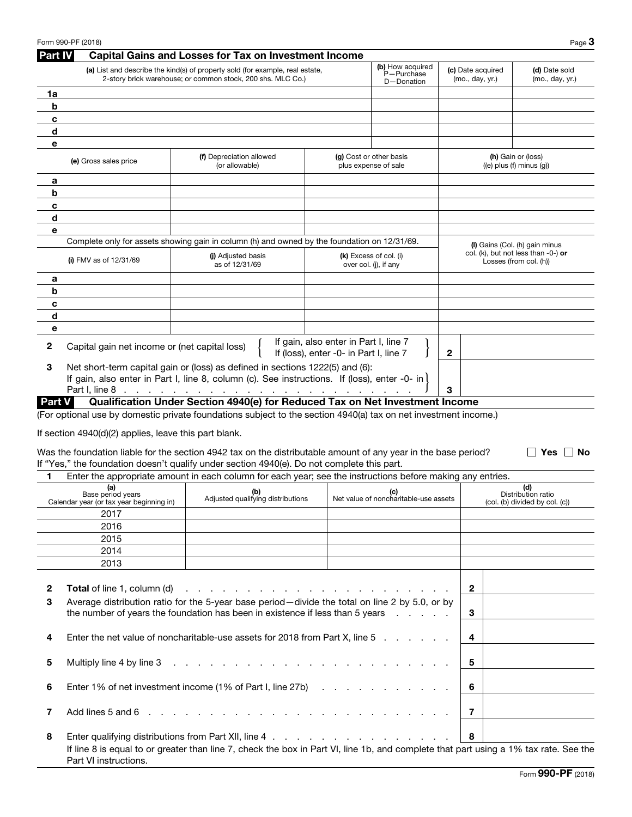| Part IV       |                                                                      | <b>Capital Gains and Losses for Tax on Investment Income</b>                                                                                                                                                                   |                                                                                 |                                                 |                                      |                                                                                                    |
|---------------|----------------------------------------------------------------------|--------------------------------------------------------------------------------------------------------------------------------------------------------------------------------------------------------------------------------|---------------------------------------------------------------------------------|-------------------------------------------------|--------------------------------------|----------------------------------------------------------------------------------------------------|
|               |                                                                      | (a) List and describe the kind(s) of property sold (for example, real estate,<br>2-story brick warehouse; or common stock, 200 shs. MLC Co.)                                                                                   |                                                                                 | (b) How acquired<br>P-Purchase<br>D-Donation    | (c) Date acquired<br>(mo., day, yr.) | (d) Date sold<br>(mo., day, yr.)                                                                   |
| 1a            |                                                                      |                                                                                                                                                                                                                                |                                                                                 |                                                 |                                      |                                                                                                    |
| b             |                                                                      |                                                                                                                                                                                                                                |                                                                                 |                                                 |                                      |                                                                                                    |
| c             |                                                                      |                                                                                                                                                                                                                                |                                                                                 |                                                 |                                      |                                                                                                    |
| d             |                                                                      |                                                                                                                                                                                                                                |                                                                                 |                                                 |                                      |                                                                                                    |
| е             |                                                                      |                                                                                                                                                                                                                                |                                                                                 |                                                 |                                      |                                                                                                    |
|               | (e) Gross sales price                                                | (f) Depreciation allowed<br>(or allowable)                                                                                                                                                                                     |                                                                                 | (g) Cost or other basis<br>plus expense of sale |                                      | (h) Gain or (loss)<br>$((e)$ plus $(f)$ minus $(g)$ )                                              |
| a             |                                                                      |                                                                                                                                                                                                                                |                                                                                 |                                                 |                                      |                                                                                                    |
| b             |                                                                      |                                                                                                                                                                                                                                |                                                                                 |                                                 |                                      |                                                                                                    |
| c             |                                                                      |                                                                                                                                                                                                                                |                                                                                 |                                                 |                                      |                                                                                                    |
| d             |                                                                      |                                                                                                                                                                                                                                |                                                                                 |                                                 |                                      |                                                                                                    |
| e             |                                                                      | Complete only for assets showing gain in column (h) and owned by the foundation on 12/31/69.                                                                                                                                   |                                                                                 |                                                 |                                      |                                                                                                    |
|               | (i) FMV as of $12/31/69$                                             | (i) Adjusted basis<br>as of 12/31/69                                                                                                                                                                                           |                                                                                 | (k) Excess of col. (i)<br>over col. (j), if any |                                      | (I) Gains (Col. (h) gain minus<br>col. (k), but not less than $-0$ -) or<br>Losses (from col. (h)) |
| а             |                                                                      |                                                                                                                                                                                                                                |                                                                                 |                                                 |                                      |                                                                                                    |
| b             |                                                                      |                                                                                                                                                                                                                                |                                                                                 |                                                 |                                      |                                                                                                    |
| c             |                                                                      |                                                                                                                                                                                                                                |                                                                                 |                                                 |                                      |                                                                                                    |
| d             |                                                                      |                                                                                                                                                                                                                                |                                                                                 |                                                 |                                      |                                                                                                    |
| e             |                                                                      |                                                                                                                                                                                                                                |                                                                                 |                                                 |                                      |                                                                                                    |
| $\mathbf{2}$  | Capital gain net income or (net capital loss)                        |                                                                                                                                                                                                                                | If gain, also enter in Part I, line 7<br>If (loss), enter -0- in Part I, line 7 |                                                 | $\mathbf{2}$                         |                                                                                                    |
| 3             | Part I, line 8                                                       | Net short-term capital gain or (loss) as defined in sections 1222(5) and (6):<br>If gain, also enter in Part I, line 8, column (c). See instructions. If (loss), enter -0- in                                                  |                                                                                 |                                                 | 3                                    |                                                                                                    |
| <b>Part V</b> |                                                                      | Qualification Under Section 4940(e) for Reduced Tax on Net Investment Income                                                                                                                                                   |                                                                                 |                                                 |                                      |                                                                                                    |
|               |                                                                      | (For optional use by domestic private foundations subject to the section 4940(a) tax on net investment income.)                                                                                                                |                                                                                 |                                                 |                                      |                                                                                                    |
|               |                                                                      |                                                                                                                                                                                                                                |                                                                                 |                                                 |                                      |                                                                                                    |
|               | If section 4940(d)(2) applies, leave this part blank.                |                                                                                                                                                                                                                                |                                                                                 |                                                 |                                      |                                                                                                    |
|               |                                                                      | Was the foundation liable for the section 4942 tax on the distributable amount of any year in the base period?<br>If "Yes," the foundation doesn't qualify under section 4940(e). Do not complete this part.                   |                                                                                 |                                                 |                                      | Yes<br>∣ No                                                                                        |
| 1             |                                                                      | Enter the appropriate amount in each column for each year; see the instructions before making any entries.                                                                                                                     |                                                                                 |                                                 |                                      |                                                                                                    |
|               | (a)<br>Base period years<br>Calendar year (or tax year beginning in) | (b)<br>Adjusted qualifying distributions                                                                                                                                                                                       |                                                                                 | (c)<br>Net value of noncharitable-use assets    |                                      | (d)<br>Distribution ratio<br>(col. (b) divided by col. (c))                                        |
|               | 2017                                                                 |                                                                                                                                                                                                                                |                                                                                 |                                                 |                                      |                                                                                                    |
|               | 2016                                                                 |                                                                                                                                                                                                                                |                                                                                 |                                                 |                                      |                                                                                                    |
|               | 2015                                                                 |                                                                                                                                                                                                                                |                                                                                 |                                                 |                                      |                                                                                                    |
|               | 2014                                                                 |                                                                                                                                                                                                                                |                                                                                 |                                                 |                                      |                                                                                                    |
|               | 2013                                                                 |                                                                                                                                                                                                                                |                                                                                 |                                                 |                                      |                                                                                                    |
|               |                                                                      |                                                                                                                                                                                                                                |                                                                                 |                                                 |                                      |                                                                                                    |
| $\mathbf{2}$  | <b>Total</b> of line 1, column (d)                                   |                                                                                                                                                                                                                                |                                                                                 |                                                 | $\overline{2}$                       |                                                                                                    |
| 3             |                                                                      | Average distribution ratio for the 5-year base period-divide the total on line 2 by 5.0, or by<br>the number of years the foundation has been in existence if less than 5 years                                                |                                                                                 | and the company of the company                  | 3                                    |                                                                                                    |
| 4             |                                                                      | Enter the net value of noncharitable-use assets for 2018 from Part X, line 5                                                                                                                                                   |                                                                                 |                                                 | 4                                    |                                                                                                    |
| 5             | Multiply line 4 by line 3                                            | de la caractería de la caractería de la caractería                                                                                                                                                                             |                                                                                 |                                                 | 5                                    |                                                                                                    |
| 6             |                                                                      | Enter 1% of net investment income (1% of Part I, line 27b)                                                                                                                                                                     |                                                                                 |                                                 | 6                                    |                                                                                                    |
| 7             | Add lines 5 and 6                                                    | and the company of the company of the company of the company of the company of the company of the company of the company of the company of the company of the company of the company of the company of the company of the comp |                                                                                 |                                                 | 7                                    |                                                                                                    |
| 8             |                                                                      |                                                                                                                                                                                                                                |                                                                                 |                                                 | 8                                    |                                                                                                    |
|               | Part VI instructions.                                                | If line 8 is equal to or greater than line 7, check the box in Part VI, line 1b, and complete that part using a 1% tax rate. See the                                                                                           |                                                                                 |                                                 |                                      |                                                                                                    |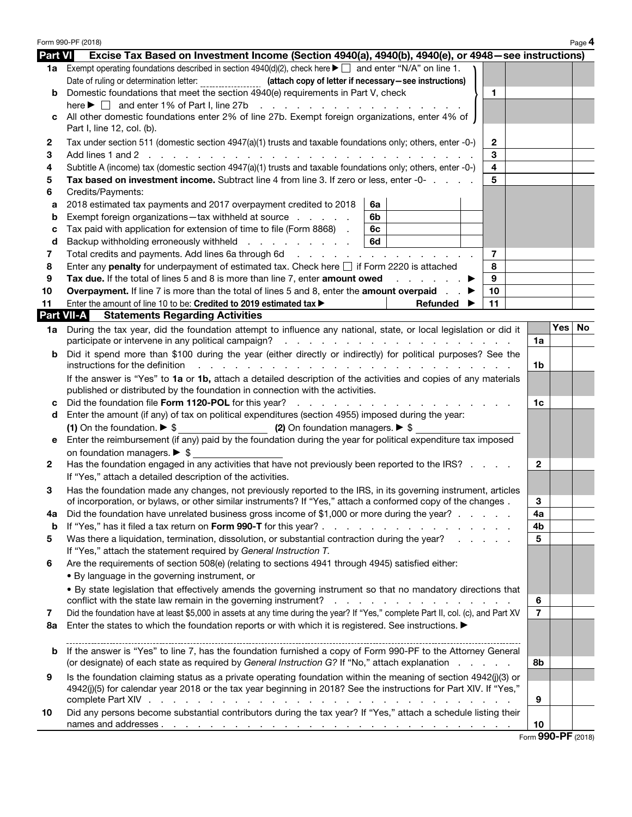Form 990-PF (2018) Creative Opera Company, Ltd  $_{\text{Page}}$ 4 Part VI Excise Tax Based on Investment Income (Section 4940(a), 4940(b), 4940(e), or 4948–see instructions) 1a Exempt operating foundations described in section  $4940(d)(2)$ , check here  $\blacktriangleright \Box$  and enter "N/A" on line 1. Date of ruling or determination letter: \_\_\_\_\_\_\_\_\_\_\_\_\_\_\_\_\_\_ (attach copy of letter if necessary-see instructions) b Domestic foundations that meet the section 4940(e) requirements in Part V, check } 1 here  $\blacktriangleright \Box$  and enter 1% of Part I, line 27b  $\ldots$  . . . . . . . . . . . . . . . . . c All other domestic foundations enter 2% of line 27b. Exempt foreign organizations, enter 4% of Part I, line 12, col. (b). 2 Tax under section 511 (domestic section 4947(a)(1) trusts and taxable foundations only; others, enter -0-)  $\vert$  2 3 Add lines 1 and 2 . . . . . . . . . . . . . . . . . . . . . . . . . . . 3 4 Subtitle A (income) tax (domestic section  $4947(a)(1)$  trusts and taxable foundations only; others, enter -0-)  $\vert$  4 5 Tax based on investment income. Subtract line 4 from line 3. If zero or less, enter -0- . . . . . . 5 6 Credits/Payments: a 2018 estimated tax payments and 2017 overpayment credited to 2018  $\,$  6a **b** Exempt foreign organizations—tax withheld at source  $\ldots$  . . . . . 6b **c** Tax paid with application for extension of time to file (Form 8868)  $\blacksquare$  6c **d** Backup withholding erroneously withheld  $\ldots$  . . . . . . .  $\mid$  6d 7 Total credits and payments. Add lines 6a through 6d  $\ldots$  . . . . . . . . . . . . . . . . . 7 8 Enter any **penalty** for underpayment of estimated tax. Check here  $\Box$  if Form 2220 is attached  $\Box$  8 9 Tax due. If the total of lines 5 and 8 is more than line 7, enter amount owed  $\blacksquare$ . 10 Overpayment. If line 7 is more than the total of lines 5 and 8, enter the amount overpaid  $\mathbf{P}$  | 10 11 Enter the amount of line 10 to be: Credited to 2019 estimated tax  $\blacktriangleright$  Refunded  $\blacktriangleright$  11 Part VII-A Statements Regarding Activities 1a During the tax year, did the foundation attempt to influence any national, state, or local legislation or did it participate or intervene in any political campaign? . . . . . . . . . . . . . . . . . . . 1a b Did it spend more than \$100 during the year (either directly or indirectly) for political purposes? See the instructions for the definition . . . . . . . . . . . . . . . . . . . . . . . . . . 1b If the answer is "Yes" to 1a or 1b, attach a detailed description of the activities and copies of any materials published or distributed by the foundation in connection with the activities. c Did the foundation file Form 1120-POL for this year? . . . . . . . . . . . . . . . . . . 1c d Enter the amount (if any) of tax on political expenditures (section 4955) imposed during the year: (1) On the foundation. ▶ \$ (2) On foundation managers. ▶ \$ e Enter the reimbursement (if any) paid by the foundation during the year for political expenditure tax imposed on foundation managers. ▶ \$ 2 Has the foundation engaged in any activities that have not previously been reported to the IRS?  $\ldots$   $\Box$ If "Yes," attach a detailed description of the activities. 3 Has the foundation made any changes, not previously reported to the IRS, in its governing instrument, articles of incorporation, or bylaws, or other similar instruments? If "Yes," attach a conformed copy of the changes . 3 4a Did the foundation have unrelated business gross income of \$1,000 or more during the year? . . . . . | 4a b If "Yes," has it filed a tax return on Form 990-T for this year? . . . . . . . . . . . . . . . . 4b 5 Was there a liquidation, termination, dissolution, or substantial contraction during the year? . . . . . | 5 If "Yes," attach the statement required by *General Instruction T.* 6 Are the requirements of section 508(e) (relating to sections 4941 through 4945) satisfied either: • By language in the governing instrument, or • By state legislation that effectively amends the governing instrument so that no mandatory directions that conflict with the state law remain in the governing instrument?  $\ldots$  . . . . . . . . . . . . . . . . 6 7 Did the foundation have at least \$5,000 in assets at any time during the year? If "Yes," complete Part II, col. (c), and Part XV | 7 8a Enter the states to which the foundation reports or with which it is registered. See instructions. ▶ b If the answer is "Yes" to line 7, has the foundation furnished a copy of Form 990-PF to the Attorney General (or designate) of each state as required by *General Instruction G?* If "No," attach explanation . . . . . 8b

|    | Is the foundation claiming status as a private operating foundation within the meaning of section 4942(j)(3) or                                                                                                                                       |     |
|----|-------------------------------------------------------------------------------------------------------------------------------------------------------------------------------------------------------------------------------------------------------|-----|
|    | 4942(j)(5) for calendar year 2018 or the tax year beginning in 2018? See the instructions for Part XIV. If "Yes,"                                                                                                                                     |     |
|    |                                                                                                                                                                                                                                                       | - 9 |
| 10 | Did any persons become substantial contributors during the tax year? If "Yes," attach a schedule listing their                                                                                                                                        |     |
|    | names and addresses.<br>a construction of the construction of the construction of the construction of the construction of the construction of the construction of the construction of the construction of the construction of the construction of the | 10  |

Form 990-PF (2018)

✔

Yes | No

✔

✔

 $\mathbf v$ 

✔

✔ ✔ ✔ ✔

✔

✔

✔

✔

0 0  $\overline{0}$  $\overline{0}$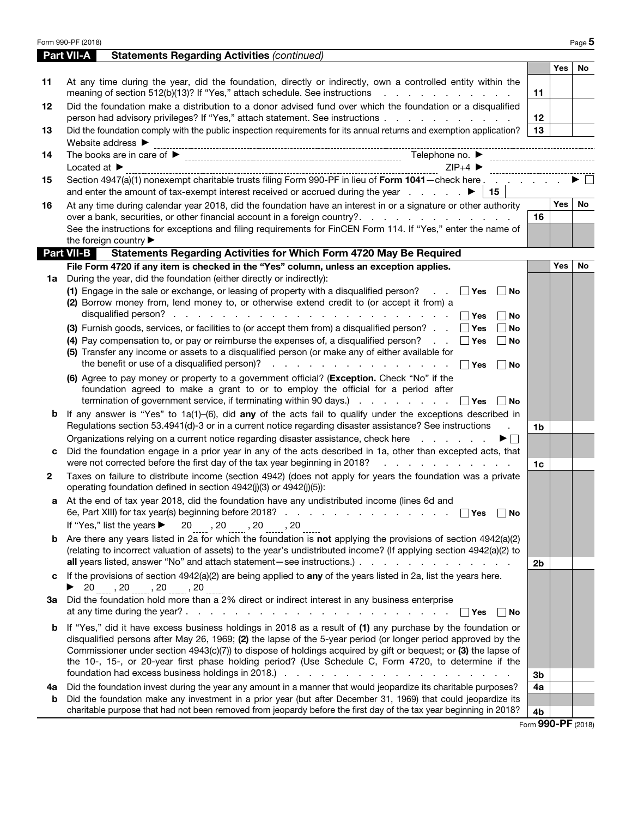$_{\rm Form}$   $_{990}$ -p $_{\rm F(2018)}$  Creative Opera Company, Ltd  $_{\rm Page}$  5

|              | <b>Part VII-A</b> | <b>Statements Regarding Activities (continued)</b>                                                                                                                                                                                                                              |    |     |    |
|--------------|-------------------|---------------------------------------------------------------------------------------------------------------------------------------------------------------------------------------------------------------------------------------------------------------------------------|----|-----|----|
|              |                   |                                                                                                                                                                                                                                                                                 |    | Yes | No |
| 11           |                   | At any time during the year, did the foundation, directly or indirectly, own a controlled entity within the<br>meaning of section 512(b)(13)? If "Yes," attach schedule. See instructions                                                                                       | 11 |     | V  |
| 12           |                   | Did the foundation make a distribution to a donor advised fund over which the foundation or a disqualified<br>person had advisory privileges? If "Yes," attach statement. See instructions                                                                                      | 12 |     | v  |
| 13           |                   | Did the foundation comply with the public inspection requirements for its annual returns and exemption application?                                                                                                                                                             | 13 | ✓   |    |
|              |                   | Website address > http;//creativeopera.org                                                                                                                                                                                                                                      |    |     |    |
| 14           |                   | $212 - 877 - 7555$<br>Telephone no. $\blacktriangleright$                                                                                                                                                                                                                       |    |     |    |
|              |                   | Located at $\triangleright$ 101 West 85th Street, # 34, New York, NY<br>Section 1047/37/33 methods for the Street, # 34, New York, NY<br>$ZIP+4$<br>10024-4452                                                                                                                  |    |     |    |
| 15           |                   | Section 4947(a)(1) nonexempt charitable trusts filing Form 990-PF in lieu of Form 1041 - check here                                                                                                                                                                             |    |     |    |
|              |                   | 15                                                                                                                                                                                                                                                                              |    |     |    |
| 16           |                   | At any time during calendar year 2018, did the foundation have an interest in or a signature or other authority                                                                                                                                                                 |    | Yes | No |
|              |                   | over a bank, securities, or other financial account in a foreign country?.                                                                                                                                                                                                      | 16 |     | V  |
|              |                   | See the instructions for exceptions and filing requirements for FinCEN Form 114. If "Yes," enter the name of                                                                                                                                                                    |    |     |    |
|              | <b>Part VII-B</b> | the foreign country<br>Statements Regarding Activities for Which Form 4720 May Be Required                                                                                                                                                                                      |    |     |    |
|              |                   | File Form 4720 if any item is checked in the "Yes" column, unless an exception applies.                                                                                                                                                                                         |    | Yes | No |
| 1a           |                   | During the year, did the foundation (either directly or indirectly):                                                                                                                                                                                                            |    |     |    |
|              |                   | (1) Engage in the sale or exchange, or leasing of property with a disqualified person?<br>$ v $ No<br>∣ ∣Yes<br><b>Contract</b>                                                                                                                                                 |    |     |    |
|              |                   | (2) Borrow money from, lend money to, or otherwise extend credit to (or accept it from) a<br>$\Box$ Yes<br>$\boxed{\mathbf{v}}$ No                                                                                                                                              |    |     |    |
|              |                   | (3) Furnish goods, services, or facilities to (or accept them from) a disqualified person? $\Box$ Tres<br>$\sqrt{2}$ No                                                                                                                                                         |    |     |    |
|              |                   | (4) Pay compensation to, or pay or reimburse the expenses of, a disqualified person?<br>$\sqrt{2}$ No<br>│ Yes                                                                                                                                                                  |    |     |    |
|              |                   | (5) Transfer any income or assets to a disqualified person (or make any of either available for<br>the benefit or use of a disqualified person)?<br>and a series and a series and a series<br>$\Box$ Yes<br>$ v $ No                                                            |    |     |    |
|              |                   | (6) Agree to pay money or property to a government official? (Exception. Check "No" if the<br>foundation agreed to make a grant to or to employ the official for a period after<br>termination of government service, if terminating within 90 days.)<br>$\Box$ Yes<br>$ v $ No |    |     |    |
| b            |                   | If any answer is "Yes" to $1a(1)$ -(6), did any of the acts fail to qualify under the exceptions described in                                                                                                                                                                   |    |     |    |
|              |                   | Regulations section 53.4941(d)-3 or in a current notice regarding disaster assistance? See instructions<br>Organizations relying on a current notice regarding disaster assistance, check here<br>$\blacktriangleright \Box$                                                    | 1b |     |    |
| с            |                   | Did the foundation engage in a prior year in any of the acts described in 1a, other than excepted acts, that                                                                                                                                                                    |    |     |    |
|              |                   | were not corrected before the first day of the tax year beginning in 2018?<br>and the company of the company of                                                                                                                                                                 | 1c |     |    |
| $\mathbf{2}$ |                   | Taxes on failure to distribute income (section 4942) (does not apply for years the foundation was a private<br>operating foundation defined in section 4942(j)(3) or 4942(j)(5)):                                                                                               |    |     |    |
| а            |                   | At the end of tax year 2018, did the foundation have any undistributed income (lines 6d and<br>6e, Part XIII) for tax year(s) beginning before 2018?<br>Yes ØNo                                                                                                                 |    |     |    |
|              |                   | If "Yes," list the years $\blacktriangleright$ 20 , 20 , 20                                                                                                                                                                                                                     |    |     |    |
| b            |                   | Are there any years listed in 2a for which the foundation is not applying the provisions of section 4942(a)(2)                                                                                                                                                                  |    |     |    |
|              |                   | (relating to incorrect valuation of assets) to the year's undistributed income? (If applying section 4942(a)(2) to                                                                                                                                                              |    |     |    |
|              |                   |                                                                                                                                                                                                                                                                                 | 2b |     |    |
| c            |                   | If the provisions of section $4942(a)(2)$ are being applied to any of the years listed in 2a, list the years here.<br>$\triangleright$ 20 , 20 , 20 , 20                                                                                                                        |    |     |    |
| За           |                   | Did the foundation hold more than a 2% direct or indirect interest in any business enterprise                                                                                                                                                                                   |    |     |    |
|              |                   | $\Box$ Yes $\angle$ No                                                                                                                                                                                                                                                          |    |     |    |
| b            |                   | If "Yes," did it have excess business holdings in 2018 as a result of (1) any purchase by the foundation or                                                                                                                                                                     |    |     |    |
|              |                   | disqualified persons after May 26, 1969; (2) the lapse of the 5-year period (or longer period approved by the                                                                                                                                                                   |    |     |    |
|              |                   | Commissioner under section 4943(c)(7)) to dispose of holdings acquired by gift or bequest; or (3) the lapse of                                                                                                                                                                  |    |     |    |
|              |                   | the 10-, 15-, or 20-year first phase holding period? (Use Schedule C, Form 4720, to determine if the                                                                                                                                                                            |    |     |    |
|              |                   |                                                                                                                                                                                                                                                                                 | 3b |     |    |
| 4a<br>b      |                   | Did the foundation invest during the year any amount in a manner that would jeopardize its charitable purposes?<br>Did the foundation make any investment in a prior year (but after December 31, 1969) that could jeopardize its                                               | 4a |     |    |
|              |                   | charitable purpose that had not been removed from jeopardy before the first day of the tax year beginning in 2018?                                                                                                                                                              | 4b |     |    |
|              |                   |                                                                                                                                                                                                                                                                                 |    |     |    |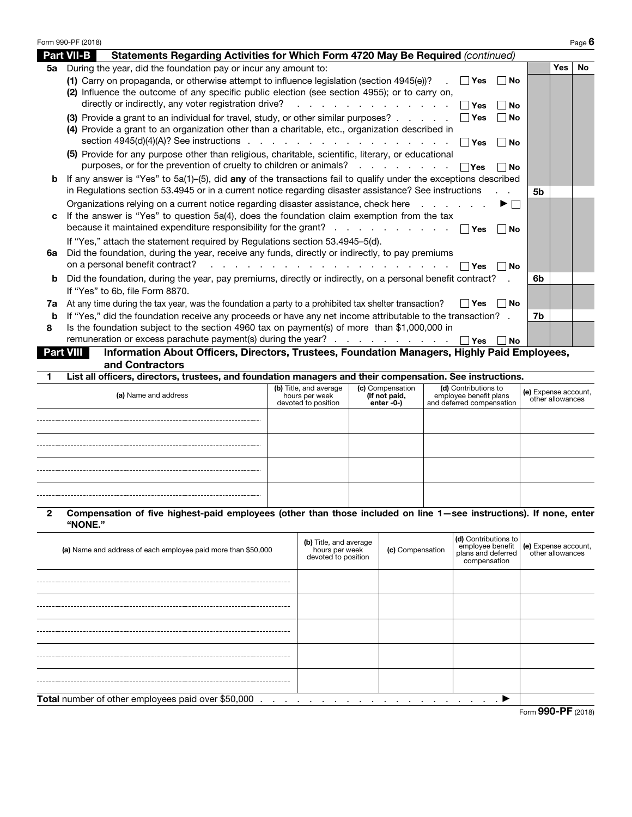$_{\rm Form}$   $_{990}$ -PF (2018) Creative Opera Company, Ltd  $_{\rm Page}$  6

| $23 - 110919$ |  | Page 6 |  |
|---------------|--|--------|--|
|               |  |        |  |

|                  | Statements Regarding Activities for Which Form 4720 May Be Required (continued)<br><b>Part VII-B</b>                             |    |            |     |
|------------------|----------------------------------------------------------------------------------------------------------------------------------|----|------------|-----|
| 5а               | During the year, did the foundation pay or incur any amount to:                                                                  |    | <b>Yes</b> | No. |
|                  | (1) Carry on propaganda, or otherwise attempt to influence legislation (section 4945(e))? $\Box$ Yes<br>$ v $ No                 |    |            |     |
|                  | (2) Influence the outcome of any specific public election (see section 4955); or to carry on,                                    |    |            |     |
|                  | $ v $ No<br>$\lceil \cdot \rceil$ Yes                                                                                            |    |            |     |
|                  | (3) Provide a grant to an individual for travel, study, or other similar purposes? $\ldots$ $\ldots$ $\Box$ Yes<br>$ v $ No      |    |            |     |
|                  | (4) Provide a grant to an organization other than a charitable, etc., organization described in                                  |    |            |     |
|                  | $ v $ No                                                                                                                         |    |            |     |
|                  | (5) Provide for any purpose other than religious, charitable, scientific, literary, or educational                               |    |            |     |
|                  | purposes, or for the prevention of cruelty to children or animals? $\ldots$ $\ldots$ $\ldots$ $\Box$ Yes<br>「r No                |    |            |     |
| b                | If any answer is "Yes" to $5a(1)$ –(5), did any of the transactions fail to qualify under the exceptions described               |    |            |     |
|                  | in Regulations section 53.4945 or in a current notice regarding disaster assistance? See instructions                            | 5b |            |     |
|                  | Organizations relying on a current notice regarding disaster assistance, check here $\ldots$ $\blacktriangleright \Box$          |    |            |     |
| c                | If the answer is "Yes" to question 5a(4), does the foundation claim exemption from the tax                                       |    |            |     |
|                  | because it maintained expenditure responsibility for the grant? $\Box$ Yes<br>  No                                               |    |            |     |
|                  | If "Yes," attach the statement required by Regulations section 53.4945-5(d).                                                     |    |            |     |
| 6a               | Did the foundation, during the year, receive any funds, directly or indirectly, to pay premiums                                  |    |            |     |
|                  | ∣ ∣Yes<br>lr∣No                                                                                                                  |    |            |     |
| b                | Did the foundation, during the year, pay premiums, directly or indirectly, on a personal benefit contract?                       | 6b |            |     |
|                  | If "Yes" to 6b, file Form 8870.                                                                                                  |    |            |     |
| 7a               | At any time during the tax year, was the foundation a party to a prohibited tax shelter transaction?<br>IIYes I <del></del> VINo |    |            |     |
| b                | If "Yes," did the foundation receive any proceeds or have any net income attributable to the transaction? .                      | 7b |            | V   |
| 8                | Is the foundation subject to the section 4960 tax on payment(s) of more than \$1,000,000 in                                      |    |            |     |
|                  | remuneration or excess parachute payment(s) during the year? $\Box$ Yes $\Box$ No                                                |    |            |     |
| <b>Part VIII</b> | Information About Officers, Directors, Trustees, Foundation Managers, Highly Paid Employees,                                     |    |            |     |
|                  | and Contractors                                                                                                                  |    |            |     |

1 List all officers, directors, trustees, and foundation managers and their compensation. See instructions.

| (a) Name and address | (b) Title, and average<br>hours per week<br>devoted to position | (c) Compensation<br>(If not paid,<br>enter -0-) | (d) Contributions to<br>employee benefit plans<br>and deferred compensation | (e) Expense account,<br>other allowances |
|----------------------|-----------------------------------------------------------------|-------------------------------------------------|-----------------------------------------------------------------------------|------------------------------------------|
| N/A                  |                                                                 |                                                 |                                                                             |                                          |
|                      |                                                                 |                                                 |                                                                             |                                          |
|                      |                                                                 |                                                 |                                                                             |                                          |
|                      |                                                                 |                                                 |                                                                             |                                          |

## 2 Compensation of five highest-paid employees (other than those included on line 1—see instructions). If none, enter "NONE."

| (a) Name and address of each employee paid more than \$50,000 | (b) Title, and average<br>hours per week<br>devoted to position | (c) Compensation | (d) Contributions to<br>compensation | employee benefit (e) Expense account,<br>plans and deferred other allowances |
|---------------------------------------------------------------|-----------------------------------------------------------------|------------------|--------------------------------------|------------------------------------------------------------------------------|
|                                                               |                                                                 |                  |                                      |                                                                              |
|                                                               |                                                                 |                  |                                      |                                                                              |
|                                                               |                                                                 |                  |                                      |                                                                              |
|                                                               |                                                                 |                  |                                      |                                                                              |
|                                                               |                                                                 |                  |                                      |                                                                              |
| Total number of other employees paid over \$50,000            |                                                                 |                  | <u>.</u>                             |                                                                              |
|                                                               |                                                                 |                  |                                      | $F_{\text{OCD}}$ 990-PF (2018)                                               |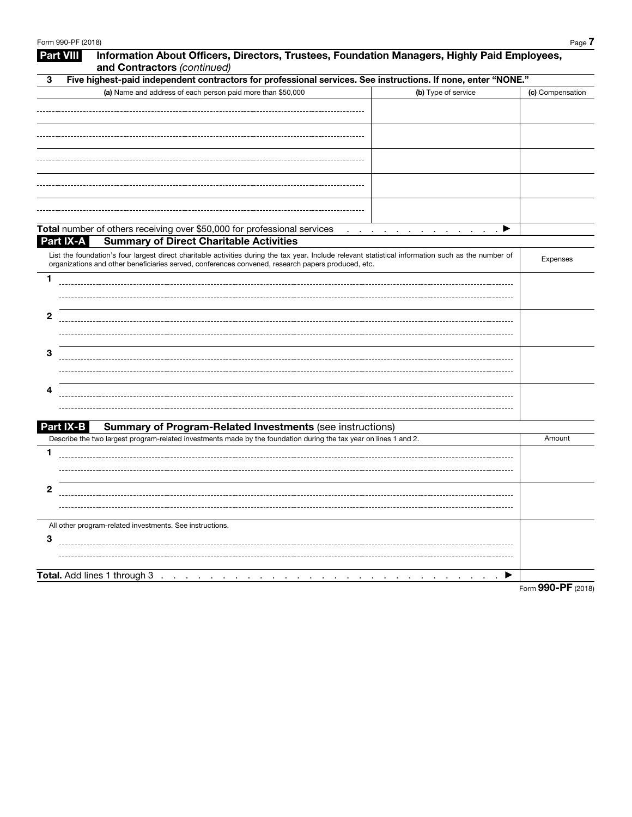| 3         | Five highest-paid independent contractors for professional services. See instructions. If none, enter "NONE."                                                                                                                                             |                  |
|-----------|-----------------------------------------------------------------------------------------------------------------------------------------------------------------------------------------------------------------------------------------------------------|------------------|
|           | (a) Name and address of each person paid more than \$50,000<br>(b) Type of service                                                                                                                                                                        | (c) Compensation |
|           |                                                                                                                                                                                                                                                           |                  |
|           |                                                                                                                                                                                                                                                           |                  |
|           |                                                                                                                                                                                                                                                           |                  |
|           |                                                                                                                                                                                                                                                           |                  |
|           |                                                                                                                                                                                                                                                           |                  |
|           |                                                                                                                                                                                                                                                           |                  |
|           |                                                                                                                                                                                                                                                           |                  |
|           |                                                                                                                                                                                                                                                           |                  |
|           |                                                                                                                                                                                                                                                           |                  |
|           | Total number of others receiving over \$50,000 for professional services<br>▶<br><b>Contract Contract</b>                                                                                                                                                 |                  |
| Part IX-A | <b>Summary of Direct Charitable Activities</b>                                                                                                                                                                                                            |                  |
|           | List the foundation's four largest direct charitable activities during the tax year. Include relevant statistical information such as the number of<br>organizations and other beneficiaries served, conferences convened, research papers produced, etc. | Expenses         |
| 1         |                                                                                                                                                                                                                                                           |                  |
|           |                                                                                                                                                                                                                                                           |                  |
|           |                                                                                                                                                                                                                                                           |                  |
| 2         |                                                                                                                                                                                                                                                           |                  |
|           |                                                                                                                                                                                                                                                           |                  |
|           |                                                                                                                                                                                                                                                           |                  |
| З         |                                                                                                                                                                                                                                                           |                  |
|           |                                                                                                                                                                                                                                                           |                  |
| 4         |                                                                                                                                                                                                                                                           |                  |
|           |                                                                                                                                                                                                                                                           |                  |
|           |                                                                                                                                                                                                                                                           |                  |
| Part IX-B | <b>Summary of Program-Related Investments (see instructions)</b>                                                                                                                                                                                          |                  |
|           | Describe the two largest program-related investments made by the foundation during the tax year on lines 1 and 2.                                                                                                                                         | Amount           |
| 1         |                                                                                                                                                                                                                                                           |                  |
|           |                                                                                                                                                                                                                                                           |                  |
| 2         |                                                                                                                                                                                                                                                           |                  |
|           |                                                                                                                                                                                                                                                           |                  |
|           |                                                                                                                                                                                                                                                           |                  |
|           | All other program-related investments. See instructions.                                                                                                                                                                                                  |                  |
| 3         |                                                                                                                                                                                                                                                           |                  |
|           |                                                                                                                                                                                                                                                           |                  |
|           |                                                                                                                                                                                                                                                           |                  |
|           | Total. Add lines 1 through 3<br>▶                                                                                                                                                                                                                         |                  |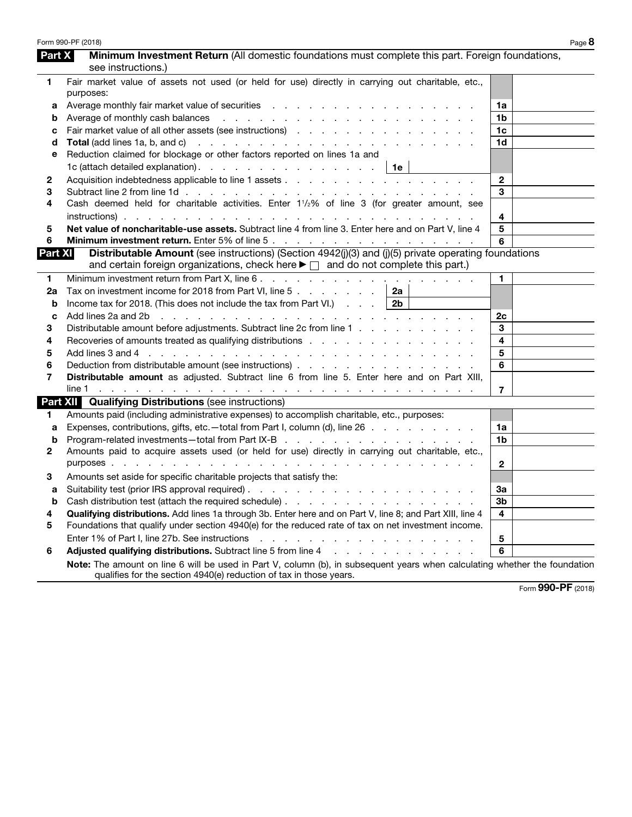| Part X         | Minimum Investment Return (All domestic foundations must complete this part. Foreign foundations,                                                                                                                              |                |  |
|----------------|--------------------------------------------------------------------------------------------------------------------------------------------------------------------------------------------------------------------------------|----------------|--|
|                | see instructions.)                                                                                                                                                                                                             |                |  |
| 1              | Fair market value of assets not used (or held for use) directly in carrying out charitable, etc.,<br>purposes:                                                                                                                 |                |  |
| a              |                                                                                                                                                                                                                                | 1a             |  |
| b              |                                                                                                                                                                                                                                | 1b             |  |
| c              | Fair market value of all other assets (see instructions)                                                                                                                                                                       | 1c             |  |
| d              |                                                                                                                                                                                                                                | 1d             |  |
| е              | Reduction claimed for blockage or other factors reported on lines 1a and                                                                                                                                                       |                |  |
|                | 1c (attach detailed explanation). $\therefore$ $\therefore$ $\therefore$ $\therefore$ $\therefore$ $\therefore$ $\therefore$ $\therefore$ 1e                                                                                   |                |  |
| 2              |                                                                                                                                                                                                                                | $\mathbf{2}$   |  |
| 3              |                                                                                                                                                                                                                                | 3              |  |
| 4              | Cash deemed held for charitable activities. Enter 11/2% of line 3 (for greater amount, see                                                                                                                                     |                |  |
|                |                                                                                                                                                                                                                                | 4              |  |
| 5              | Net value of noncharitable-use assets. Subtract line 4 from line 3. Enter here and on Part V, line 4                                                                                                                           | 5              |  |
| 6              |                                                                                                                                                                                                                                | 6              |  |
| <b>Part XI</b> | Distributable Amount (see instructions) (Section 4942(j)(3) and (j)(5) private operating foundations<br>and certain foreign organizations, check here $\blacktriangleright \Box$ and do not complete this part.)               |                |  |
| 1              |                                                                                                                                                                                                                                | $\blacksquare$ |  |
| 2a             | Tax on investment income for 2018 from Part VI, line 5 $\ldots$ $\ldots$ $\ldots$   2a                                                                                                                                         |                |  |
| b              | Income tax for 2018. (This does not include the tax from Part VI.) $\ldots$ 2b                                                                                                                                                 |                |  |
| C              | Add lines 2a and 2b r and r and r and r and r and r and r and r and r and r and r and r and r and r and r and r and r and r and r and r and r and r and r and r and r and r and r and r and r and r and r and r and r and r an | 2c             |  |
| 3              | Distributable amount before adjustments. Subtract line 2c from line 1                                                                                                                                                          | 3              |  |
| 4              |                                                                                                                                                                                                                                | 4              |  |
| 5              |                                                                                                                                                                                                                                | 5              |  |
| 6              | Deduction from distributable amount (see instructions) entitled and the control of the control of the control o                                                                                                                | 6              |  |
| 7              | Distributable amount as adjusted. Subtract line 6 from line 5. Enter here and on Part XIII,                                                                                                                                    |                |  |
|                |                                                                                                                                                                                                                                | $\overline{7}$ |  |
|                | <b>Part XII Qualifying Distributions (see instructions)</b>                                                                                                                                                                    |                |  |
| 1.             | Amounts paid (including administrative expenses) to accomplish charitable, etc., purposes:                                                                                                                                     |                |  |
| a              | Expenses, contributions, gifts, etc.—total from Part I, column (d), line 26                                                                                                                                                    | 1a             |  |
| b              |                                                                                                                                                                                                                                | 1b             |  |
| 2              | Amounts paid to acquire assets used (or held for use) directly in carrying out charitable, etc.,                                                                                                                               |                |  |
|                |                                                                                                                                                                                                                                | $\mathbf{2}$   |  |
| 3              | Amounts set aside for specific charitable projects that satisfy the:                                                                                                                                                           |                |  |
| a              |                                                                                                                                                                                                                                | За             |  |
| b              |                                                                                                                                                                                                                                | 3b             |  |
| 4              | Qualifying distributions. Add lines 1a through 3b. Enter here and on Part V, line 8; and Part XIII, line 4                                                                                                                     | 4              |  |
| 5              | Foundations that qualify under section 4940(e) for the reduced rate of tax on net investment income.                                                                                                                           |                |  |
|                |                                                                                                                                                                                                                                | 5              |  |
| 6              | Adjusted qualifying distributions. Subtract line 5 from line 4 manuscript and contact the state of the state of the state of the state of the state of the state of the state of the state of the state of the state of the st | 6              |  |
|                | Note: The amount on line 6 will be used in Part V, column (b), in subsequent years when calculating whether the foundation<br>qualifies for the section 4940(e) reduction of tax in those years.                               |                |  |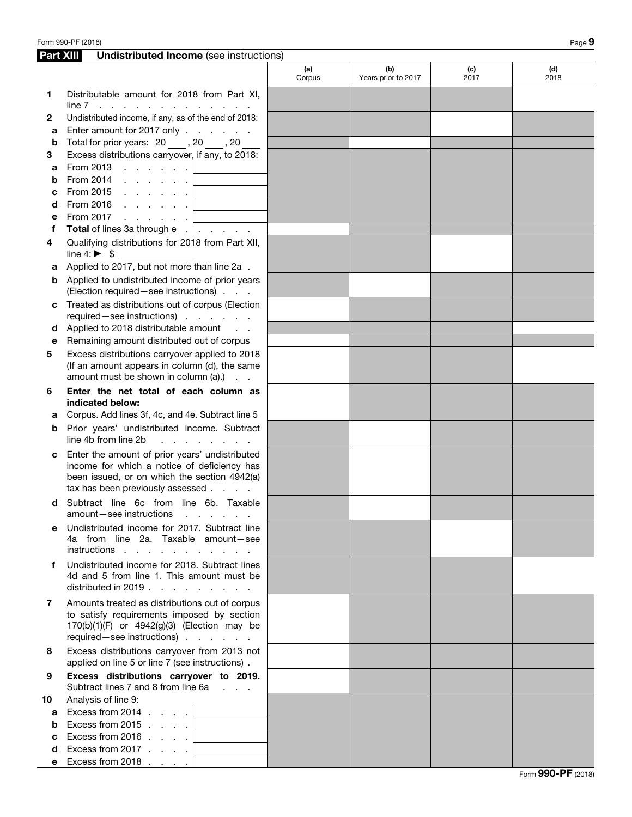|    | <b>Part XIII</b><br><b>Undistributed Income</b> (see instructions)                                                                                                                |               |                            |             |             |  |  |
|----|-----------------------------------------------------------------------------------------------------------------------------------------------------------------------------------|---------------|----------------------------|-------------|-------------|--|--|
|    |                                                                                                                                                                                   | (a)<br>Corpus | (b)<br>Years prior to 2017 | (c)<br>2017 | (d)<br>2018 |  |  |
| 1  | Distributable amount for 2018 from Part XI,<br>$line 7$                                                                                                                           |               |                            |             |             |  |  |
| 2  | Undistributed income, if any, as of the end of 2018:                                                                                                                              |               |                            |             |             |  |  |
| а  | Enter amount for 2017 only                                                                                                                                                        |               |                            |             |             |  |  |
| b  | Total for prior years: 20, 20, 20                                                                                                                                                 |               |                            |             |             |  |  |
| 3  | Excess distributions carryover, if any, to 2018:                                                                                                                                  |               |                            |             |             |  |  |
| a  | From 2013 $\ldots$ $\ldots$ $\ldots$                                                                                                                                              |               |                            |             |             |  |  |
| b  | From 2014 $\ldots$ $\ldots$ $\ldots$<br>$\mathcal{L}_{\text{max}}$ and $\mathcal{L}_{\text{max}}$                                                                                 |               |                            |             |             |  |  |
| с  | From 2015 $\ldots$ $\ldots$ $\ldots$                                                                                                                                              |               |                            |             |             |  |  |
| d  |                                                                                                                                                                                   |               |                            |             |             |  |  |
| е  | From 2017 $\ldots$ $\ldots$ $\ldots$                                                                                                                                              |               |                            |             |             |  |  |
| f  | Total of lines 3a through e                                                                                                                                                       |               |                            |             |             |  |  |
| 4  | Qualifying distributions for 2018 from Part XII,<br>line 4: $\triangleright$ \$                                                                                                   |               |                            |             |             |  |  |
| а  | Applied to 2017, but not more than line 2a.                                                                                                                                       |               |                            |             |             |  |  |
| b  | Applied to undistributed income of prior years<br>(Election required - see instructions)                                                                                          |               |                            |             |             |  |  |
| c  | Treated as distributions out of corpus (Election<br>required-see instructions)                                                                                                    |               |                            |             |             |  |  |
| d  | Applied to 2018 distributable amount                                                                                                                                              |               |                            |             |             |  |  |
| е  | Remaining amount distributed out of corpus                                                                                                                                        |               |                            |             |             |  |  |
| 5  | Excess distributions carryover applied to 2018<br>(If an amount appears in column (d), the same<br>amount must be shown in column (a).)                                           |               |                            |             |             |  |  |
| 6  | Enter the net total of each column as<br>indicated below:                                                                                                                         |               |                            |             |             |  |  |
| а  | Corpus. Add lines 3f, 4c, and 4e. Subtract line 5                                                                                                                                 |               |                            |             |             |  |  |
| b  | Prior years' undistributed income. Subtract                                                                                                                                       |               |                            |             |             |  |  |
|    | line 4b from line 2b<br>and a state of the state                                                                                                                                  |               |                            |             |             |  |  |
| с  | Enter the amount of prior years' undistributed<br>income for which a notice of deficiency has<br>been issued, or on which the section 4942(a)<br>tax has been previously assessed |               |                            |             |             |  |  |
| d  | Subtract line 6c from line 6b. Taxable<br>amount-see instructions<br>and the contract of the con-                                                                                 |               |                            |             |             |  |  |
| е  | Undistributed income for 2017. Subtract line<br>4a from line 2a. Taxable amount-see<br>instructions                                                                               |               |                            |             |             |  |  |
| f  | Undistributed income for 2018. Subtract lines<br>4d and 5 from line 1. This amount must be<br>distributed in 2019. $\ldots$                                                       |               |                            |             |             |  |  |
| 7  | Amounts treated as distributions out of corpus<br>to satisfy requirements imposed by section<br>170(b)(1)(F) or 4942(g)(3) (Election may be<br>required - see instructions)       |               |                            |             |             |  |  |
| 8  | Excess distributions carryover from 2013 not<br>applied on line 5 or line 7 (see instructions).                                                                                   |               |                            |             |             |  |  |
| 9  | Excess distributions carryover to 2019.<br>Subtract lines 7 and 8 from line 6a                                                                                                    |               |                            |             |             |  |  |
| 10 | Analysis of line 9:                                                                                                                                                               |               |                            |             |             |  |  |
| a  | Excess from 2014 $\ldots$ .                                                                                                                                                       |               |                            |             |             |  |  |
| b  | Excess from 2015 $\ldots$ .                                                                                                                                                       |               |                            |             |             |  |  |
| c  | Excess from 2016 $\ldots$ .                                                                                                                                                       |               |                            |             |             |  |  |
| d  | Excess from 2017 <u>  _ _ _ _ _ _ _</u>                                                                                                                                           |               |                            |             |             |  |  |
| е  | Excess from 2018 $\ldots$ .                                                                                                                                                       |               |                            |             |             |  |  |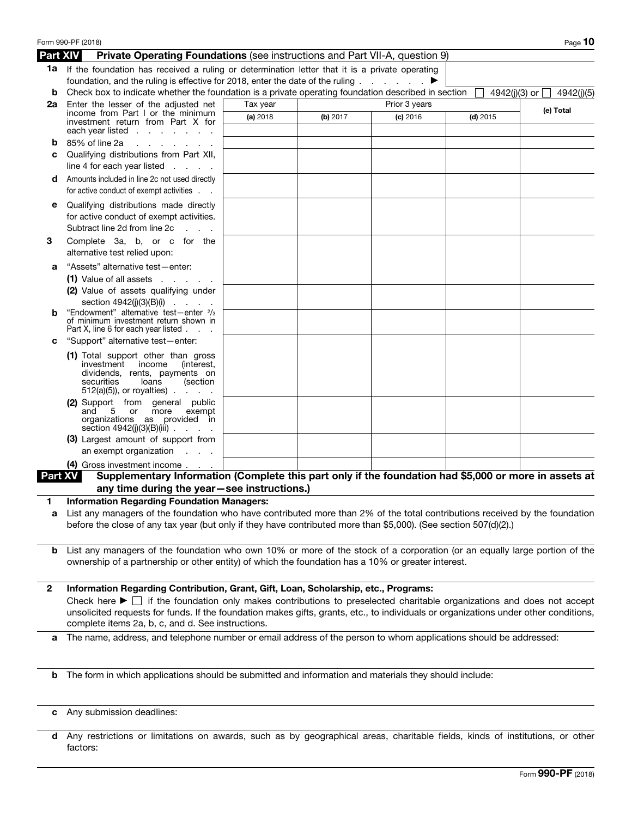|                 | Form 990-PF (2018) Creative Opera Company, Ltd                                                                                                                                                     |          |          |                 |            | 23-7170979 <sub>Page</sub> 10   |  |
|-----------------|----------------------------------------------------------------------------------------------------------------------------------------------------------------------------------------------------|----------|----------|-----------------|------------|---------------------------------|--|
| <b>Part XIV</b> | Private Operating Foundations (see instructions and Part VII-A, question 9)                                                                                                                        |          |          |                 |            |                                 |  |
| b               | 1a If the foundation has received a ruling or determination letter that it is a private operating<br>foundation, and the ruling is effective for 2018, enter the date of the ruling.               |          |          | and the company |            | 4942(j)(3) or $\Box$ 4942(j)(5) |  |
| 2a              | Check box to indicate whether the foundation is a private operating foundation described in section<br>Enter the lesser of the adjusted net<br>Tax year<br>Prior 3 years                           |          |          |                 |            |                                 |  |
|                 | income from Part I or the minimum                                                                                                                                                                  | (a) 2018 | (b) 2017 | (c) 2016        | $(d)$ 2015 | (e) Total                       |  |
|                 | investment return from Part X for<br>each year listed                                                                                                                                              |          |          |                 |            |                                 |  |
|                 | 85% of line 2a<br>the company of the company of                                                                                                                                                    |          |          |                 |            |                                 |  |
| с               | Qualifying distributions from Part XII,                                                                                                                                                            |          |          |                 |            |                                 |  |
|                 | line 4 for each year listed $\ldots$ .                                                                                                                                                             |          |          |                 |            |                                 |  |
| d               | Amounts included in line 2c not used directly<br>for active conduct of exempt activities.                                                                                                          |          |          |                 |            |                                 |  |
| е               | Qualifying distributions made directly<br>for active conduct of exempt activities.<br>Subtract line 2d from line 2c                                                                                |          |          |                 |            |                                 |  |
| З               | Complete 3a, b, or c for the<br>alternative test relied upon:                                                                                                                                      |          |          |                 |            |                                 |  |
| а               | "Assets" alternative test-enter:                                                                                                                                                                   |          |          |                 |            |                                 |  |
|                 | $(1)$ Value of all assets $\ldots$ .                                                                                                                                                               |          |          |                 |            |                                 |  |
|                 | (2) Value of assets qualifying under                                                                                                                                                               |          |          |                 |            |                                 |  |
|                 | section $4942(j)(3)(B)(i)$                                                                                                                                                                         |          |          |                 |            |                                 |  |
|                 | "Endowment" alternative test-enter 2/3<br>of minimum investment return shown in                                                                                                                    |          |          |                 |            |                                 |  |
| с               | Part X, line 6 for each year listed.<br>"Support" alternative test-enter:                                                                                                                          |          |          |                 |            |                                 |  |
|                 |                                                                                                                                                                                                    |          |          |                 |            |                                 |  |
|                 | (1) Total support other than gross<br>income<br>investment<br>(interest,<br>dividends, rents, payments on<br>securities<br>loans<br>(section<br>$512(a)(5)$ , or royalties)                        |          |          |                 |            |                                 |  |
|                 | (2) Support from general public<br>5<br>or more<br>exempt<br>and<br>organizations as provided in<br>section 4942(j)(3)(B)(iii) .<br>$\mathbf{r} = \mathbf{r} \times \mathbf{r}$ . The $\mathbf{r}$ |          |          |                 |            |                                 |  |
|                 | (3) Largest amount of support from                                                                                                                                                                 |          |          |                 |            |                                 |  |
|                 | an exempt organization<br>$\sim$                                                                                                                                                                   |          |          |                 |            |                                 |  |
|                 | (4) Gross investment income.                                                                                                                                                                       |          |          |                 |            |                                 |  |
| Part XV         | Supplementary Information (Complete this part only if the foundation had \$5,000 or more in assets at                                                                                              |          |          |                 |            |                                 |  |
|                 | any time during the year-see instructions.)                                                                                                                                                        |          |          |                 |            |                                 |  |
| 1               | <b>Information Regarding Foundation Managers:</b>                                                                                                                                                  |          |          |                 |            |                                 |  |
| а               | List any managers of the foundation who have contributed more than 2% of the total contributions received by the foundation                                                                        |          |          |                 |            |                                 |  |
|                 | before the close of any tax year (but only if they have contributed more than \$5,000). (See section 507(d)(2).)                                                                                   |          |          |                 |            |                                 |  |
|                 | <b>b</b> List any managers of the foundation who own 10% or more of the stock of a corporation (or an equally large portion of the                                                                 |          |          |                 |            |                                 |  |
|                 | ownership of a partnership or other entity) of which the foundation has a 10% or greater interest.                                                                                                 |          |          |                 |            |                                 |  |
| 2               | Information Regarding Contribution, Grant, Gift, Loan, Scholarship, etc., Programs:                                                                                                                |          |          |                 |            |                                 |  |
|                 | Check here $\blacktriangleright \Box$ if the foundation only makes contributions to preselected charitable organizations and does not accept                                                       |          |          |                 |            |                                 |  |
|                 | unsolicited requests for funds. If the foundation makes gifts, grants, etc., to individuals or organizations under other conditions,<br>complete items 2a, b, c, and d. See instructions.          |          |          |                 |            |                                 |  |
| a               | The name, address, and telephone number or email address of the person to whom applications should be addressed:                                                                                   |          |          |                 |            |                                 |  |
|                 |                                                                                                                                                                                                    |          |          |                 |            |                                 |  |
|                 |                                                                                                                                                                                                    |          |          |                 |            |                                 |  |

- 
- c Any submission deadlines:

b The form in which applications should be submitted and information and materials they should include:

d Any restrictions or limitations on awards, such as by geographical areas, charitable fields, kinds of institutions, or other factors: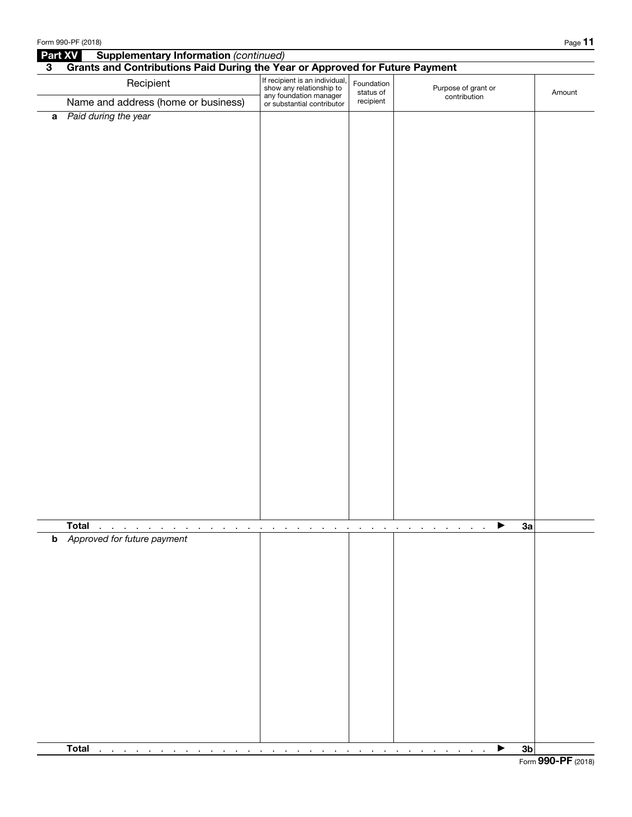| Part XV<br><b>Supplementary Information (continued)</b> |                                                                                   |                                                                                      |                         |                                     |        |  |  |  |  |
|---------------------------------------------------------|-----------------------------------------------------------------------------------|--------------------------------------------------------------------------------------|-------------------------|-------------------------------------|--------|--|--|--|--|
|                                                         | Grants and Contributions Paid During the Year or Approved for Future Payment<br>3 |                                                                                      |                         |                                     |        |  |  |  |  |
|                                                         | Recipient                                                                         | If recipient is an individual,<br>show any relationship to<br>any foundation manager | Foundation<br>status of | Purpose of grant or<br>contribution | Amount |  |  |  |  |
|                                                         | Name and address (home or business)                                               | or substantial contributor                                                           | recipient               |                                     |        |  |  |  |  |
| $\mathbf a$                                             | Paid during the year                                                              |                                                                                      |                         |                                     |        |  |  |  |  |
|                                                         |                                                                                   |                                                                                      |                         |                                     |        |  |  |  |  |
|                                                         |                                                                                   |                                                                                      |                         |                                     |        |  |  |  |  |
|                                                         |                                                                                   |                                                                                      |                         |                                     |        |  |  |  |  |
|                                                         |                                                                                   |                                                                                      |                         |                                     |        |  |  |  |  |
|                                                         |                                                                                   |                                                                                      |                         |                                     |        |  |  |  |  |
|                                                         |                                                                                   |                                                                                      |                         |                                     |        |  |  |  |  |
|                                                         |                                                                                   |                                                                                      |                         |                                     |        |  |  |  |  |
|                                                         |                                                                                   |                                                                                      |                         |                                     |        |  |  |  |  |
|                                                         |                                                                                   |                                                                                      |                         |                                     |        |  |  |  |  |
|                                                         |                                                                                   |                                                                                      |                         |                                     |        |  |  |  |  |
|                                                         |                                                                                   |                                                                                      |                         |                                     |        |  |  |  |  |
|                                                         |                                                                                   |                                                                                      |                         |                                     |        |  |  |  |  |
|                                                         |                                                                                   |                                                                                      |                         |                                     |        |  |  |  |  |
|                                                         |                                                                                   |                                                                                      |                         |                                     |        |  |  |  |  |
|                                                         |                                                                                   |                                                                                      |                         |                                     |        |  |  |  |  |
|                                                         |                                                                                   |                                                                                      |                         |                                     |        |  |  |  |  |
|                                                         |                                                                                   |                                                                                      |                         |                                     |        |  |  |  |  |
|                                                         |                                                                                   |                                                                                      |                         |                                     |        |  |  |  |  |
|                                                         |                                                                                   |                                                                                      |                         |                                     |        |  |  |  |  |
|                                                         |                                                                                   |                                                                                      |                         |                                     |        |  |  |  |  |
|                                                         |                                                                                   |                                                                                      |                         |                                     |        |  |  |  |  |
|                                                         |                                                                                   |                                                                                      |                         |                                     |        |  |  |  |  |
|                                                         |                                                                                   |                                                                                      |                         |                                     |        |  |  |  |  |
|                                                         |                                                                                   |                                                                                      |                         |                                     |        |  |  |  |  |
|                                                         | <b>Total</b>                                                                      |                                                                                      |                         | 3a<br>▸                             |        |  |  |  |  |
|                                                         | <b>b</b> Approved for future payment                                              |                                                                                      |                         |                                     |        |  |  |  |  |
|                                                         |                                                                                   |                                                                                      |                         |                                     |        |  |  |  |  |
|                                                         |                                                                                   |                                                                                      |                         |                                     |        |  |  |  |  |
|                                                         |                                                                                   |                                                                                      |                         |                                     |        |  |  |  |  |
|                                                         |                                                                                   |                                                                                      |                         |                                     |        |  |  |  |  |
|                                                         |                                                                                   |                                                                                      |                         |                                     |        |  |  |  |  |
|                                                         |                                                                                   |                                                                                      |                         |                                     |        |  |  |  |  |
|                                                         |                                                                                   |                                                                                      |                         |                                     |        |  |  |  |  |
|                                                         |                                                                                   |                                                                                      |                         |                                     |        |  |  |  |  |
|                                                         |                                                                                   |                                                                                      |                         |                                     |        |  |  |  |  |
|                                                         |                                                                                   |                                                                                      |                         |                                     |        |  |  |  |  |
|                                                         |                                                                                   |                                                                                      |                         |                                     |        |  |  |  |  |
|                                                         |                                                                                   |                                                                                      |                         |                                     |        |  |  |  |  |
|                                                         | <b>Total</b><br>$\cdot$<br>$\sim$<br>$\alpha = 0.1$<br>$\blacksquare$             |                                                                                      |                         | 3 <sub>b</sub><br>▶                 |        |  |  |  |  |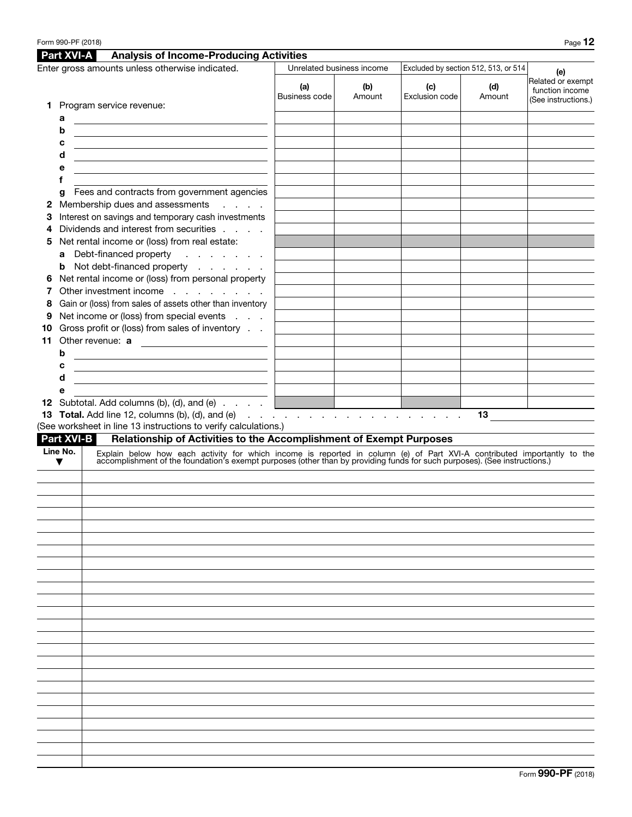|    | <b>Part XVI-A</b> | <b>Analysis of Income-Producing Activities</b>                                                                                                                                                                                |                      |                           |                       |                                      |                                                             |
|----|-------------------|-------------------------------------------------------------------------------------------------------------------------------------------------------------------------------------------------------------------------------|----------------------|---------------------------|-----------------------|--------------------------------------|-------------------------------------------------------------|
|    |                   | Enter gross amounts unless otherwise indicated.                                                                                                                                                                               |                      | Unrelated business income |                       | Excluded by section 512, 513, or 514 | (e)                                                         |
|    |                   |                                                                                                                                                                                                                               | (a)<br>Business code | (b)<br>Amount             | (c)<br>Exclusion code | (d)<br>Amount                        | Related or exempt<br>function income<br>(See instructions.) |
|    |                   | <b>1</b> Program service revenue:                                                                                                                                                                                             |                      |                           |                       |                                      |                                                             |
|    | a                 |                                                                                                                                                                                                                               |                      |                           |                       |                                      |                                                             |
|    | b                 |                                                                                                                                                                                                                               |                      |                           |                       |                                      |                                                             |
|    | c                 |                                                                                                                                                                                                                               |                      |                           |                       |                                      |                                                             |
|    | d                 |                                                                                                                                                                                                                               |                      |                           |                       |                                      |                                                             |
|    | е                 |                                                                                                                                                                                                                               |                      |                           |                       |                                      |                                                             |
|    |                   |                                                                                                                                                                                                                               |                      |                           |                       |                                      |                                                             |
|    | g                 | Fees and contracts from government agencies                                                                                                                                                                                   |                      |                           |                       |                                      |                                                             |
| 2  |                   | Membership dues and assessments<br>$\mathcal{L}^{\text{c}}$ , $\mathcal{L}^{\text{c}}$ , $\mathcal{L}^{\text{c}}$ , $\mathcal{L}^{\text{c}}$                                                                                  |                      |                           |                       |                                      |                                                             |
| 3  |                   | Interest on savings and temporary cash investments                                                                                                                                                                            |                      |                           |                       |                                      |                                                             |
| 4  |                   | Dividends and interest from securities                                                                                                                                                                                        |                      |                           |                       |                                      |                                                             |
| 5  |                   | Net rental income or (loss) from real estate:                                                                                                                                                                                 |                      |                           |                       |                                      |                                                             |
|    | a                 | Debt-financed property<br>and a series and                                                                                                                                                                                    |                      |                           |                       |                                      |                                                             |
|    |                   | <b>b</b> Not debt-financed property                                                                                                                                                                                           |                      |                           |                       |                                      |                                                             |
| 6  |                   | Net rental income or (loss) from personal property                                                                                                                                                                            |                      |                           |                       |                                      |                                                             |
| 7  |                   | Other investment income                                                                                                                                                                                                       |                      |                           |                       |                                      |                                                             |
| 8  |                   | Gain or (loss) from sales of assets other than inventory                                                                                                                                                                      |                      |                           |                       |                                      |                                                             |
| 9  |                   | Net income or (loss) from special events                                                                                                                                                                                      |                      |                           |                       |                                      |                                                             |
| 10 |                   | Gross profit or (loss) from sales of inventory                                                                                                                                                                                |                      |                           |                       |                                      |                                                             |
| 11 |                   | Other revenue: a                                                                                                                                                                                                              |                      |                           |                       |                                      |                                                             |
|    | b                 | <u> 1980 - Johann Barn, fransk politik (f. 1980)</u>                                                                                                                                                                          |                      |                           |                       |                                      |                                                             |
|    | c                 | <u> 1980 - Johann Barn, fransk politik (d. 1980)</u>                                                                                                                                                                          |                      |                           |                       |                                      |                                                             |
|    | d                 | <u> 1989 - Johann Stoff, fransk politik (d. 1989)</u>                                                                                                                                                                         |                      |                           |                       |                                      |                                                             |
|    | е                 | <b>12</b> Subtotal. Add columns (b), (d), and (e) $\ldots$ $\ldots$                                                                                                                                                           |                      |                           |                       |                                      |                                                             |
|    |                   | <b>13 Total.</b> Add line 12, columns (b), (d), and (e) $\ldots$ $\ldots$ $\ldots$ $\ldots$ $\ldots$ $\ldots$ $\ldots$                                                                                                        |                      |                           |                       |                                      |                                                             |
|    |                   | (See worksheet in line 13 instructions to verify calculations.)                                                                                                                                                               |                      |                           |                       |                                      | $13 \qquad \qquad$                                          |
|    |                   | <b>Part XVI-B</b><br>Relationship of Activities to the Accomplishment of Exempt Purposes                                                                                                                                      |                      |                           |                       |                                      |                                                             |
|    | Line No.          |                                                                                                                                                                                                                               |                      |                           |                       |                                      |                                                             |
|    | ▼                 | Explain below how each activity for which income is reported in column (e) of Part XVI-A contributed importantly to the accomplishment of the foundation's exempt purposes (other than by providing funds for such purposes). |                      |                           |                       |                                      |                                                             |
|    |                   |                                                                                                                                                                                                                               |                      |                           |                       |                                      |                                                             |
|    |                   |                                                                                                                                                                                                                               |                      |                           |                       |                                      |                                                             |
|    |                   |                                                                                                                                                                                                                               |                      |                           |                       |                                      |                                                             |
|    |                   |                                                                                                                                                                                                                               |                      |                           |                       |                                      |                                                             |
|    |                   |                                                                                                                                                                                                                               |                      |                           |                       |                                      |                                                             |
|    |                   |                                                                                                                                                                                                                               |                      |                           |                       |                                      |                                                             |
|    |                   |                                                                                                                                                                                                                               |                      |                           |                       |                                      |                                                             |
|    |                   |                                                                                                                                                                                                                               |                      |                           |                       |                                      |                                                             |
|    |                   |                                                                                                                                                                                                                               |                      |                           |                       |                                      |                                                             |
|    |                   |                                                                                                                                                                                                                               |                      |                           |                       |                                      |                                                             |
|    |                   |                                                                                                                                                                                                                               |                      |                           |                       |                                      |                                                             |
|    |                   |                                                                                                                                                                                                                               |                      |                           |                       |                                      |                                                             |
|    |                   |                                                                                                                                                                                                                               |                      |                           |                       |                                      |                                                             |
|    |                   |                                                                                                                                                                                                                               |                      |                           |                       |                                      |                                                             |
|    |                   |                                                                                                                                                                                                                               |                      |                           |                       |                                      |                                                             |
|    |                   |                                                                                                                                                                                                                               |                      |                           |                       |                                      |                                                             |
|    |                   |                                                                                                                                                                                                                               |                      |                           |                       |                                      |                                                             |
|    |                   |                                                                                                                                                                                                                               |                      |                           |                       |                                      |                                                             |
|    |                   |                                                                                                                                                                                                                               |                      |                           |                       |                                      |                                                             |
|    |                   |                                                                                                                                                                                                                               |                      |                           |                       |                                      |                                                             |
|    |                   |                                                                                                                                                                                                                               |                      |                           |                       |                                      |                                                             |
|    |                   |                                                                                                                                                                                                                               |                      |                           |                       |                                      |                                                             |
|    |                   |                                                                                                                                                                                                                               |                      |                           |                       |                                      |                                                             |